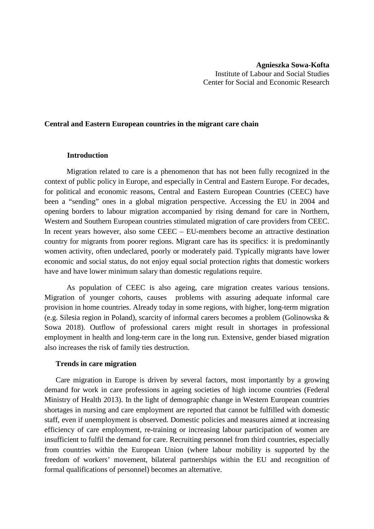### **Central and Eastern European countries in the migrant care chain**

### **Introduction**

Migration related to care is a phenomenon that has not been fully recognized in the context of public policy in Europe, and especially in Central and Eastern Europe. For decades, for political and economic reasons, Central and Eastern European Countries (CEEC) have been a "sending" ones in a global migration perspective. Accessing the EU in 2004 and opening borders to labour migration accompanied by rising demand for care in Northern, Western and Southern European countries stimulated migration of care providers from CEEC. In recent years however, also some CEEC – EU-members become an attractive destination country for migrants from poorer regions. Migrant care has its specifics: it is predominantly women activity, often undeclared, poorly or moderately paid. Typically migrants have lower economic and social status, do not enjoy equal social protection rights that domestic workers have and have lower minimum salary than domestic regulations require.

As population of CEEC is also ageing, care migration creates various tensions. Migration of younger cohorts, causes problems with assuring adequate informal care provision in home countries. Already today in some regions, with higher, long-term migration (e.g. Silesia region in Poland), scarcity of informal carers becomes a problem (Golinowska & Sowa 2018). Outflow of professional carers might result in shortages in professional employment in health and long-term care in the long run. Extensive, gender biased migration also increases the risk of family ties destruction.

### **Trends in care migration**

Care migration in Europe is driven by several factors, most importantly by a growing demand for work in care professions in ageing societies of high income countries (Federal Ministry of Health 2013). In the light of demographic change in Western European countries shortages in nursing and care employment are reported that cannot be fulfilled with domestic staff, even if unemployment is observed. Domestic policies and measures aimed at increasing efficiency of care employment, re-training or increasing labour participation of women are insufficient to fulfil the demand for care. Recruiting personnel from third countries, especially from countries within the European Union (where labour mobility is supported by the freedom of workers' movement, bilateral partnerships within the EU and recognition of formal qualifications of personnel) becomes an alternative.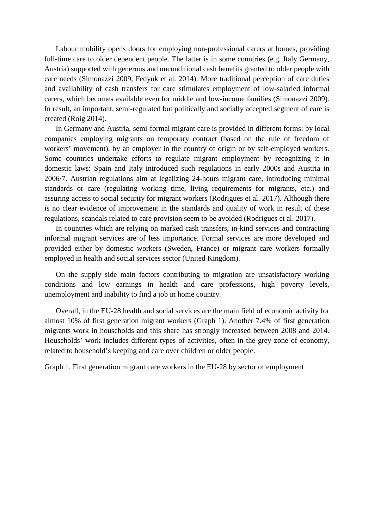Labour mobility opens doors for employing non-professional carers at homes, providing full-time care to older dependent people. The latter is in some countries (e.g. Italy Germany, Austria) supported with generous and unconditional cash benefits granted to older people with care needs (Simonazzi 2009, Fedyuk et al. 2014). More traditional perception of care duties and availability of cash transfers for care stimulates employment of low-salaried informal carers, which becomes available even for middle and low-income families (Simonazzi 2009). In result, an important, semi-regulated but politically and socially accepted segment of care is created (Roig 2014).

In Germany and Austria, semi-formal migrant care is provided in different forms: by local companies employing migrants on temporary contract (based on the rule of freedom of workers' movement), by an employer in the country of origin or by self-employed workers. Some countries undertake efforts to regulate migrant employment by recognizing it in domestic laws: Spain and Italy introduced such regulations in early 2000s and Austria in 2006/7. Austrian regulations aim at legalizing 24-hours migrant care, introducing minimal standards or care (regulating working time, living requirements for migrants, etc.) and assuring access to social security for migrant workers (Rodrigues et al. 2017). Although there is no clear evidence of improvement in the standards and quality of work in result of these regulations, scandals related to care provision seem to be avoided (Rodrigues et al. 2017).

In countries which are relying on marked cash transfers, in-kind services and contracting informal migrant services are of less importance. Formal services are more developed and provided either by domestic workers (Sweden, France) or migrant care workers formally employed in health and social services sector (United Kingdom).

On the supply side main factors contributing to migration are unsatisfactory working conditions and low earnings in health and care professions, high poverty levels, unemployment and inability to find a job in home country.

Overall, in the EU-28 health and social services are the main field of economic activity for almost 10% of first generation migrant workers (Graph 1). Another 7.4% of first generation migrants work in households and this share has strongly increased between 2008 and 2014. Households' work includes different types of activities, often in the grey zone of economy, related to household's keeping and care over children or older people.

Graph 1. First generation migrant care workers in the EU-28 by sector of employment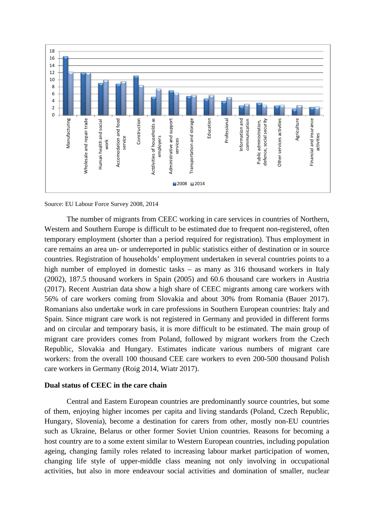

Source: EU Labour Force Survey 2008, 2014

The number of migrants from CEEC working in care services in countries of Northern, Western and Southern Europe is difficult to be estimated due to frequent non-registered, often temporary employment (shorter than a period required for registration). Thus employment in care remains an area un- or underreported in public statistics either of destination or in source countries. Registration of households' employment undertaken in several countries points to a high number of employed in domestic tasks – as many as 316 thousand workers in Italy (2002), 187.5 thousand workers in Spain (2005) and 60.6 thousand care workers in Austria (2017). Recent Austrian data show a high share of CEEC migrants among care workers with 56% of care workers coming from Slovakia and about 30% from Romania (Bauer 2017). Romanians also undertake work in care professions in Southern European countries: Italy and Spain. Since migrant care work is not registered in Germany and provided in different forms and on circular and temporary basis, it is more difficult to be estimated. The main group of migrant care providers comes from Poland, followed by migrant workers from the Czech Republic, Slovakia and Hungary. Estimates indicate various numbers of migrant care workers: from the overall 100 thousand CEE care workers to even 200-500 thousand Polish care workers in Germany (Roig 2014, Wiatr 2017).

# **Dual status of CEEC in the care chain**

Central and Eastern European countries are predominantly source countries, but some of them, enjoying higher incomes per capita and living standards (Poland, Czech Republic, Hungary, Slovenia), become a destination for carers from other, mostly non-EU countries such as Ukraine, Belarus or other former Soviet Union countries. Reasons for becoming a host country are to a some extent similar to Western European countries, including population ageing, changing family roles related to increasing labour market participation of women, changing life style of upper-middle class meaning not only involving in occupational activities, but also in more endeavour social activities and domination of smaller, nuclear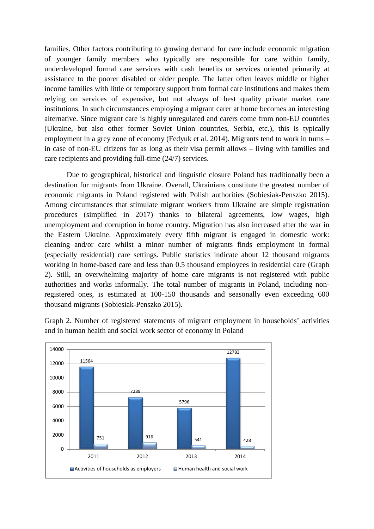families. Other factors contributing to growing demand for care include economic migration of younger family members who typically are responsible for care within family, underdeveloped formal care services with cash benefits or services oriented primarily at assistance to the poorer disabled or older people. The latter often leaves middle or higher income families with little or temporary support from formal care institutions and makes them relying on services of expensive, but not always of best quality private market care institutions. In such circumstances employing a migrant carer at home becomes an interesting alternative. Since migrant care is highly unregulated and carers come from non-EU countries (Ukraine, but also other former Soviet Union countries, Serbia, etc.), this is typically employment in a grey zone of economy (Fedyuk et al. 2014). Migrants tend to work in turns – in case of non-EU citizens for as long as their visa permit allows – living with families and care recipients and providing full-time (24/7) services.

Due to geographical, historical and linguistic closure Poland has traditionally been a destination for migrants from Ukraine. Overall, Ukrainians constitute the greatest number of economic migrants in Poland registered with Polish authorities (Sobiesiak-Penszko 2015). Among circumstances that stimulate migrant workers from Ukraine are simple registration procedures (simplified in 2017) thanks to bilateral agreements, low wages, high unemployment and corruption in home country. Migration has also increased after the war in the Eastern Ukraine. Approximately every fifth migrant is engaged in domestic work: cleaning and/or care whilst a minor number of migrants finds employment in formal (especially residential) care settings. Public statistics indicate about 12 thousand migrants working in home-based care and less than 0.5 thousand employees in residential care (Graph 2). Still, an overwhelming majority of home care migrants is not registered with public authorities and works informally. The total number of migrants in Poland, including nonregistered ones, is estimated at 100-150 thousands and seasonally even exceeding 600 thousand migrants (Sobiesiak-Penszko 2015).

Graph 2. Number of registered statements of migrant employment in households' activities and in human health and social work sector of economy in Poland

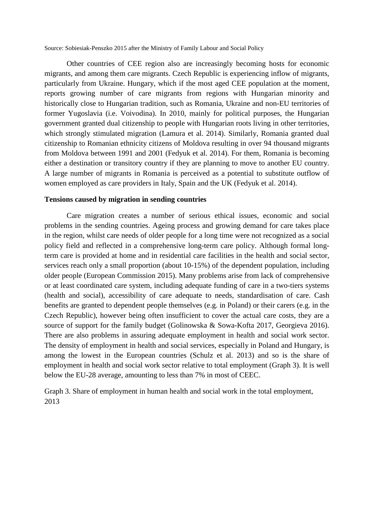Source: Sobiesiak-Penszko 2015 after the Ministry of Family Labour and Social Policy

Other countries of CEE region also are increasingly becoming hosts for economic migrants, and among them care migrants. Czech Republic is experiencing inflow of migrants, particularly from Ukraine. Hungary, which if the most aged CEE population at the moment, reports growing number of care migrants from regions with Hungarian minority and historically close to Hungarian tradition, such as Romania, Ukraine and non-EU territories of former Yugoslavia (i.e. Voivodina). In 2010, mainly for political purposes, the Hungarian government granted dual citizenship to people with Hungarian roots living in other territories, which strongly stimulated migration (Lamura et al. 2014). Similarly, Romania granted dual citizenship to Romanian ethnicity citizens of Moldova resulting in over 94 thousand migrants from Moldova between 1991 and 2001 (Fedyuk et al. 2014). For them, Romania is becoming either a destination or transitory country if they are planning to move to another EU country. A large number of migrants in Romania is perceived as a potential to substitute outflow of women employed as care providers in Italy, Spain and the UK (Fedyuk et al. 2014).

#### **Tensions caused by migration in sending countries**

Care migration creates a number of serious ethical issues, economic and social problems in the sending countries. Ageing process and growing demand for care takes place in the region, whilst care needs of older people for a long time were not recognized as a social policy field and reflected in a comprehensive long-term care policy. Although formal longterm care is provided at home and in residential care facilities in the health and social sector, services reach only a small proportion (about 10-15%) of the dependent population, including older people (European Commission 2015). Many problems arise from lack of comprehensive or at least coordinated care system, including adequate funding of care in a two-tiers systems (health and social), accessibility of care adequate to needs, standardisation of care. Cash benefits are granted to dependent people themselves (e.g. in Poland) or their carers (e.g. in the Czech Republic), however being often insufficient to cover the actual care costs, they are a source of support for the family budget (Golinowska & Sowa-Kofta 2017, Georgieva 2016). There are also problems in assuring adequate employment in health and social work sector. The density of employment in health and social services, especially in Poland and Hungary, is among the lowest in the European countries (Schulz et al. 2013) and so is the share of employment in health and social work sector relative to total employment (Graph 3). It is well below the EU-28 average, amounting to less than 7% in most of CEEC.

Graph 3. Share of employment in human health and social work in the total employment, 2013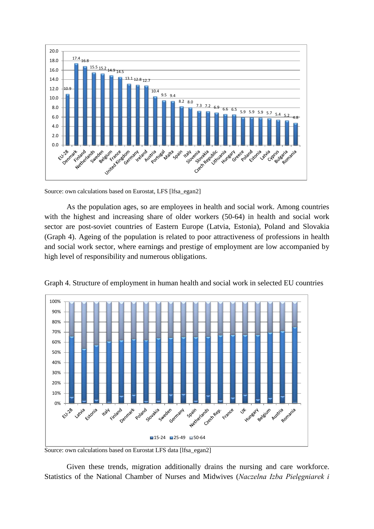

Source: own calculations based on Eurostat, LFS [lfsa\_egan2]

As the population ages, so are employees in health and social work. Among countries with the highest and increasing share of older workers (50-64) in health and social work sector are post-soviet countries of Eastern Europe (Latvia, Estonia), Poland and Slovakia (Graph 4). Ageing of the population is related to poor attractiveness of professions in health and social work sector, where earnings and prestige of employment are low accompanied by high level of responsibility and numerous obligations.



Graph 4. Structure of employment in human health and social work in selected EU countries

Given these trends, migration additionally drains the nursing and care workforce. Statistics of the National Chamber of Nurses and Midwives (*Naczelna Izba Pielęgniarek i* 

Source: own calculations based on Eurostat LFS data [lfsa\_egan2]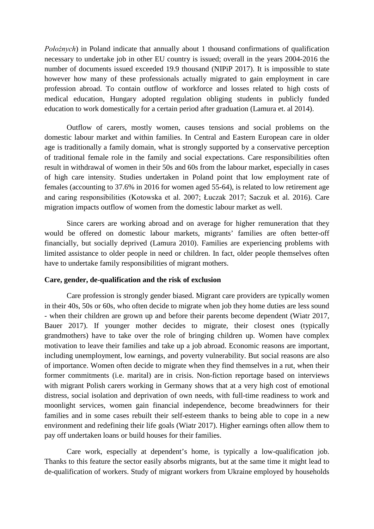*Położnych*) in Poland indicate that annually about 1 thousand confirmations of qualification necessary to undertake job in other EU country is issued; overall in the years 2004-2016 the number of documents issued exceeded 19.9 thousand (NIPiP 2017). It is impossible to state however how many of these professionals actually migrated to gain employment in care profession abroad. To contain outflow of workforce and losses related to high costs of medical education, Hungary adopted regulation obliging students in publicly funded education to work domestically for a certain period after graduation (Lamura et. al 2014).

Outflow of carers, mostly women, causes tensions and social problems on the domestic labour market and within families. In Central and Eastern European care in older age is traditionally a family domain, what is strongly supported by a conservative perception of traditional female role in the family and social expectations. Care responsibilities often result in withdrawal of women in their 50s and 60s from the labour market, especially in cases of high care intensity. Studies undertaken in Poland point that low employment rate of females (accounting to 37.6% in 2016 for women aged 55-64), is related to low retirement age and caring responsibilities (Kotowska et al. 2007; Łuczak 2017; Saczuk et al. 2016). Care migration impacts outflow of women from the domestic labour market as well.

Since carers are working abroad and on average for higher remuneration that they would be offered on domestic labour markets, migrants' families are often better-off financially, but socially deprived (Lamura 2010). Families are experiencing problems with limited assistance to older people in need or children. In fact, older people themselves often have to undertake family responsibilities of migrant mothers.

### **Care, gender, de-qualification and the risk of exclusion**

Care profession is strongly gender biased. Migrant care providers are typically women in their 40s, 50s or 60s, who often decide to migrate when job they home duties are less sound - when their children are grown up and before their parents become dependent (Wiatr 2017, Bauer 2017). If younger mother decides to migrate, their closest ones (typically grandmothers) have to take over the role of bringing children up. Women have complex motivation to leave their families and take up a job abroad. Economic reasons are important, including unemployment, low earnings, and poverty vulnerability. But social reasons are also of importance. Women often decide to migrate when they find themselves in a rut, when their former commitments (i.e. marital) are in crisis. Non-fiction reportage based on interviews with migrant Polish carers working in Germany shows that at a very high cost of emotional distress, social isolation and deprivation of own needs, with full-time readiness to work and moonlight services, women gain financial independence, become breadwinners for their families and in some cases rebuilt their self-esteem thanks to being able to cope in a new environment and redefining their life goals (Wiatr 2017). Higher earnings often allow them to pay off undertaken loans or build houses for their families.

Care work, especially at dependent's home, is typically a low-qualification job. Thanks to this feature the sector easily absorbs migrants, but at the same time it might lead to de-qualification of workers. Study of migrant workers from Ukraine employed by households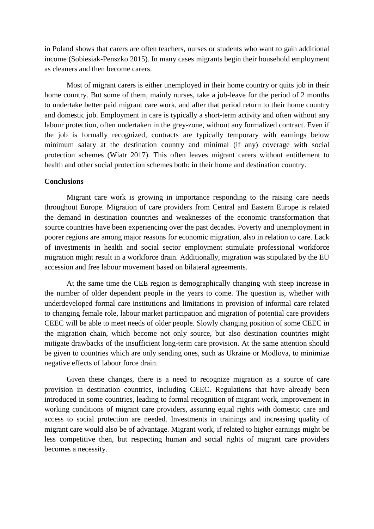in Poland shows that carers are often teachers, nurses or students who want to gain additional income (Sobiesiak-Penszko 2015). In many cases migrants begin their household employment as cleaners and then become carers.

Most of migrant carers is either unemployed in their home country or quits job in their home country. But some of them, mainly nurses, take a job-leave for the period of 2 months to undertake better paid migrant care work, and after that period return to their home country and domestic job. Employment in care is typically a short-term activity and often without any labour protection, often undertaken in the grey-zone, without any formalized contract. Even if the job is formally recognized, contracts are typically temporary with earnings below minimum salary at the destination country and minimal (if any) coverage with social protection schemes (Wiatr 2017). This often leaves migrant carers without entitlement to health and other social protection schemes both: in their home and destination country.

## **Conclusions**

Migrant care work is growing in importance responding to the raising care needs throughout Europe. Migration of care providers from Central and Eastern Europe is related the demand in destination countries and weaknesses of the economic transformation that source countries have been experiencing over the past decades. Poverty and unemployment in poorer regions are among major reasons for economic migration, also in relation to care. Lack of investments in health and social sector employment stimulate professional workforce migration might result in a workforce drain. Additionally, migration was stipulated by the EU accession and free labour movement based on bilateral agreements.

At the same time the CEE region is demographically changing with steep increase in the number of older dependent people in the years to come. The question is, whether with underdeveloped formal care institutions and limitations in provision of informal care related to changing female role, labour market participation and migration of potential care providers CEEC will be able to meet needs of older people. Slowly changing position of some CEEC in the migration chain, which become not only source, but also destination countries might mitigate drawbacks of the insufficient long-term care provision. At the same attention should be given to countries which are only sending ones, such as Ukraine or Modlova, to minimize negative effects of labour force drain.

Given these changes, there is a need to recognize migration as a source of care provision in destination countries, including CEEC. Regulations that have already been introduced in some countries, leading to formal recognition of migrant work, improvement in working conditions of migrant care providers, assuring equal rights with domestic care and access to social protection are needed. Investments in trainings and increasing quality of migrant care would also be of advantage. Migrant work, if related to higher earnings might be less competitive then, but respecting human and social rights of migrant care providers becomes a necessity.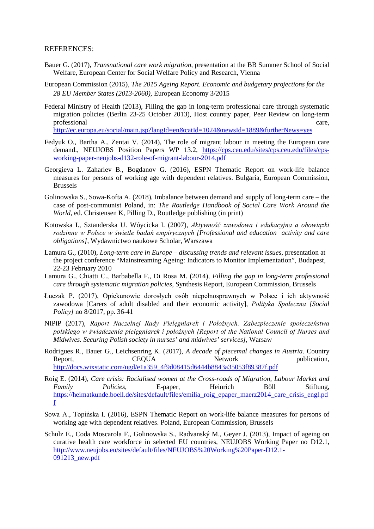#### REFERENCES:

- Bauer G. (2017), *Transnational care work migration*, presentation at the BB Summer School of Social Welfare, European Center for Social Welfare Policy and Research, Vienna
- European Commission (2015), *The 2015 Ageing Report. Economic and budgetary projections for the 28 EU Member States (2013-2060)*, European Economy 3/2015
- Federal Ministry of Health (2013), Filling the gap in long-term professional care through systematic migration policies (Berlin 23-25 October 2013), Host country paper, Peer Review on long-term professional care,  $\Box$ <http://ec.europa.eu/social/main.jsp?langId=en&catId=1024&newsId=1889&furtherNews=yes>
- Fedyuk O., Bartha A., Zentai V. (2014), The role of migrant labour in meeting the European care demand., NEUJOBS Position Papers WP 13.2, [https://cps.ceu.edu/sites/cps.ceu.edu/files/cps](https://cps.ceu.edu/sites/cps.ceu.edu/files/cps-working-paper-neujobs-d132-role-of-migrant-labour-2014.pdf)[working-paper-neujobs-d132-role-of-migrant-labour-2014.pdf](https://cps.ceu.edu/sites/cps.ceu.edu/files/cps-working-paper-neujobs-d132-role-of-migrant-labour-2014.pdf)
- Georgieva L. Zahariev B., Bogdanov G. (2016), ESPN Thematic Report on work-life balance measures for persons of working age with dependent relatives. Bulgaria, European Commission, Brussels
- Golinowska S., Sowa-Kofta A. (2018), Imbalance between demand and supply of long-term care the case of post-communist Poland, in: *The Routledge Handbook of Social Care Work Around the World*, ed. Christensen K, Pilling D., Routledge publishing (in print)
- Kotowska I., Sztanderska U. Wóycicka I. (2007), *Aktywność zawodowa i edukacyjna a obowiązki rodzinne w Polsce w świetle badań empirycznych [Professional and education activity and care obligations]*, Wydawnictwo naukowe Scholar, Warszawa
- Lamura G., (2010), *Long-term care in Europe – discussing trends and relevant issues*, presentation at the project conference "Mainstreaming Ageing: Indicators to Monitor Implementation", Budapest, 22-23 February 2010
- Lamura G., Chiatti C., Barbabella F., Di Rosa M. (2014), *Filling the gap in long-term professional care through systematic migration policies*, Synthesis Report, European Commission, Brussels
- Łuczak P. (2017), Opiekunowie dorosłych osób niepełnosprawnych w Polsce i ich aktywność zawodowa [Carers of adult disabled and their economic activity], *Polityka Społeczna [Social Policy]* no 8/2017, pp. 36-41
- NIPiP (2017), *Raport Naczelnej Rady Pielęgniarek i Położnych. Zabezpieczenie społeczeństwa polskiego w świadczenia pielęgniarek i położnych [Report of the National Council of Nurses and Midwives. Securing Polish society in nurses' and midwives' services]*, Warsaw
- Rodrigues R., Bauer G., Leichsenring K. (2017), *A decade of piecemal changes in Austria*. Country Report, CEQUA Network publication, [http://docs.wixstatic.com/ugd/e1a359\\_4f9d08415d6444b8843a35053f89387f.pdf](http://docs.wixstatic.com/ugd/e1a359_4f9d08415d6444b8843a35053f89387f.pdf)
- Roig E. (2014), *Care crisis: Racialised women at the Cross-roads of Migration, Labour Market and Family Policies*, E-paper, Heinrich Böll Stiftung, [https://heimatkunde.boell.de/sites/default/files/emilia\\_roig\\_epaper\\_maerz2014\\_care\\_crisis\\_engl.pd](https://heimatkunde.boell.de/sites/default/files/emilia_roig_epaper_maerz2014_care_crisis_engl.pdf) [f](https://heimatkunde.boell.de/sites/default/files/emilia_roig_epaper_maerz2014_care_crisis_engl.pdf)
- Sowa A., Topińska I. (2016), ESPN Thematic Report on work-life balance measures for persons of working age with dependent relatives. Poland, European Commission, Brussels
- Schulz E., Coda Moscarola F., Golinowska S., Radvanský M., Geyer J. (2013), Impact of ageing on curative health care workforce in selected EU countries, NEUJOBS Working Paper no D12.1, [http://www.neujobs.eu/sites/default/files/NEUJOBS%20Working%20Paper-D12.1-](http://www.neujobs.eu/sites/default/files/NEUJOBS%20Working%20Paper-D12.1-091213_new.pdf) 091213 new.pdf